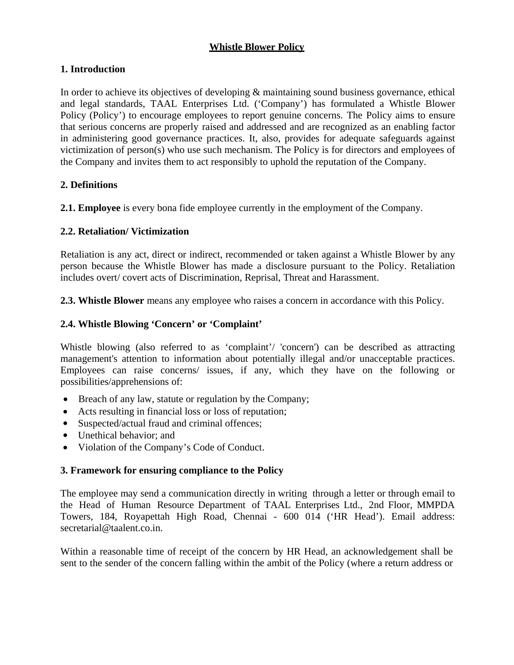# **Whistle Blower Policy**

## **1. Introduction**

In order to achieve its objectives of developing & maintaining sound business governance, ethical and legal standards, TAAL Enterprises Ltd. ('Company') has formulated a Whistle Blower Policy (Policy') to encourage employees to report genuine concerns. The Policy aims to ensure that serious concerns are properly raised and addressed and are recognized as an enabling factor in administering good governance practices. It, also, provides for adequate safeguards against victimization of person(s) who use such mechanism. The Policy is for directors and employees of the Company and invites them to act responsibly to uphold the reputation of the Company.

## **2. Definitions**

**2.1. Employee** is every bona fide employee currently in the employment of the Company.

### **2.2. Retaliation/ Victimization**

Retaliation is any act, direct or indirect, recommended or taken against a Whistle Blower by any person because the Whistle Blower has made a disclosure pursuant to the Policy. Retaliation includes overt/ covert acts of Discrimination, Reprisal, Threat and Harassment.

**2.3. Whistle Blower** means any employee who raises a concern in accordance with this Policy.

### **2.4. Whistle Blowing 'Concern' or 'Complaint'**

Whistle blowing (also referred to as 'complaint'/ 'concern') can be described as attracting management's attention to information about potentially illegal and/or unacceptable practices. Employees can raise concerns/ issues, if any, which they have on the following or possibilities/apprehensions of:

- Breach of any law, statute or regulation by the Company;
- Acts resulting in financial loss or loss of reputation;
- Suspected/actual fraud and criminal offences;
- Unethical behavior; and
- Violation of the Company's Code of Conduct.

#### **3. Framework for ensuring compliance to the Policy**

The employee may send a communication directly in writing through a letter or through email to the Head of Human Resource Department of TAAL Enterprises Ltd., 2nd Floor, MMPDA Towers, 184, Royapettah High Road, Chennai - 600 014 ('HR Head'). Email address: secretarial@taalent.co.in.

Within a reasonable time of receipt of the concern by HR Head, an acknowledgement shall be sent to the sender of the concern falling within the ambit of the Policy (where a return address or